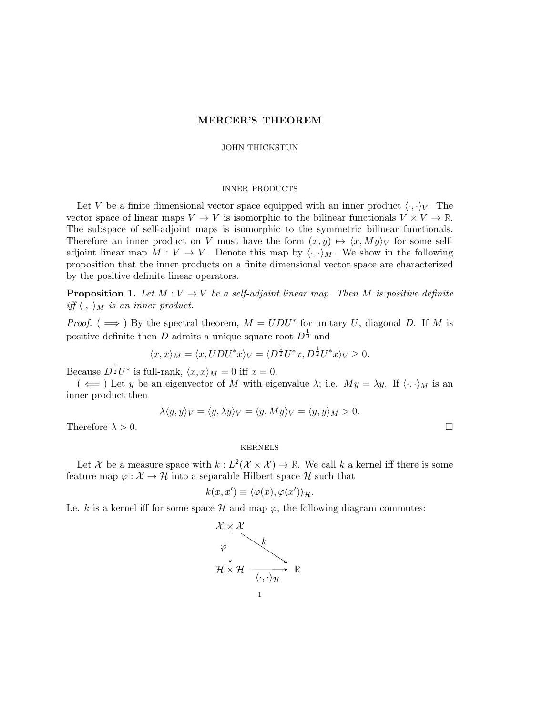## MERCER'S THEOREM

## JOHN THICKSTUN

## inner products

Let V be a finite dimensional vector space equipped with an inner product  $\langle \cdot, \cdot \rangle_V$ . The vector space of linear maps  $V \to V$  is isomorphic to the bilinear functionals  $V \times V \to \mathbb{R}$ . The subspace of self-adjoint maps is isomorphic to the symmetric bilinear functionals. Therefore an inner product on V must have the form  $(x, y) \mapsto \langle x, My \rangle_V$  for some selfadjoint linear map  $M: V \to V$ . Denote this map by  $\langle \cdot, \cdot \rangle_M$ . We show in the following proposition that the inner products on a finite dimensional vector space are characterized by the positive definite linear operators.

**Proposition 1.** Let  $M: V \to V$  be a self-adjoint linear map. Then M is positive definite iff  $\langle \cdot, \cdot \rangle_M$  is an inner product.

*Proof.* ( $\implies$ ) By the spectral theorem,  $M = UDU^*$  for unitary U, diagonal D. If M is positive definite then D admits a unique square root  $D^{\frac{1}{2}}$  and

$$
\langle x, x \rangle_M = \langle x, UDU^* x \rangle_V = \langle D^{\frac{1}{2}}U^*x, D^{\frac{1}{2}}U^*x \rangle_V \ge 0.
$$

Because  $D^{\frac{1}{2}}U^*$  is full-rank,  $\langle x, x \rangle_M = 0$  iff  $x = 0$ .

 $(\iff)$  Let y be an eigenvector of M with eigenvalue  $\lambda$ ; i.e.  $My = \lambda y$ . If  $\langle \cdot, \cdot \rangle_M$  is an inner product then

$$
\lambda \langle y, y \rangle_V = \langle y, \lambda y \rangle_V = \langle y, My \rangle_V = \langle y, y \rangle_M > 0.
$$

Therefore  $\lambda > 0$ .

# kernels

Let X be a measure space with  $k : L^2(\mathcal{X} \times \mathcal{X}) \to \mathbb{R}$ . We call k a kernel iff there is some feature map  $\varphi : \mathcal{X} \to \mathcal{H}$  into a separable Hilbert space  $\mathcal{H}$  such that

$$
k(x, x') \equiv \langle \varphi(x), \varphi(x') \rangle_{\mathcal{H}}.
$$

I.e. k is a kernel iff for some space  $H$  and map  $\varphi$ , the following diagram commutes:

$$
\begin{array}{ccc}\n\mathcal{X} \times \mathcal{X} \\
\varphi & & \\
\mathcal{H} \times \mathcal{H} & \\
\hline\n\end{array}\n\quad \begin{array}{ccc}\n\mathcal{K} & & \\
\hline\n\langle \cdot, \cdot \rangle \mathcal{H} & \\
\hline\n\end{array}\n\quad \mathbb{R}
$$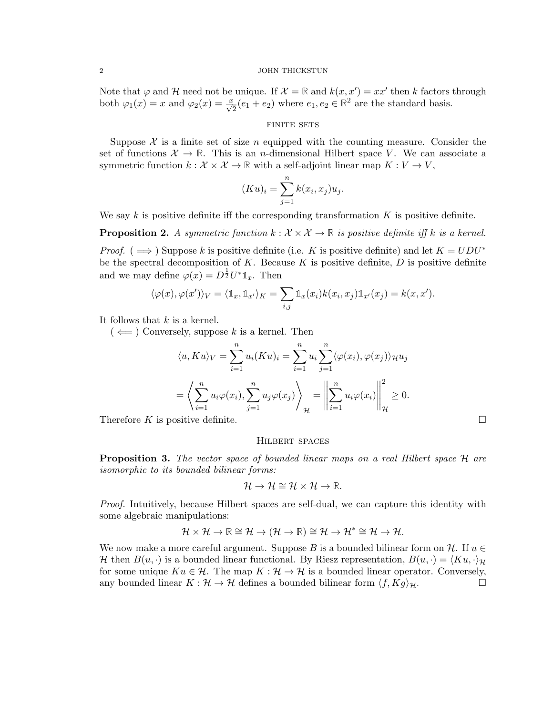#### 2 JOHN THICKSTUN

Note that  $\varphi$  and  $\mathcal{H}$  need not be unique. If  $\mathcal{X} = \mathbb{R}$  and  $k(x, x') = xx'$  then k factors through both  $\varphi_1(x) = x$  and  $\varphi_2(x) = \frac{x}{\sqrt{2}}(e_1 + e_2)$  where  $e_1, e_2 \in \mathbb{R}^2$  are the standard basis.

## FINITE SETS

Suppose  $\mathcal X$  is a finite set of size n equipped with the counting measure. Consider the set of functions  $\mathcal{X} \to \mathbb{R}$ . This is an *n*-dimensional Hilbert space V. We can associate a symmetric function  $k : \mathcal{X} \times \mathcal{X} \to \mathbb{R}$  with a self-adjoint linear map  $K : V \to V$ ,

$$
(Ku)_i = \sum_{j=1}^n k(x_i, x_j)u_j.
$$

We say  $k$  is positive definite iff the corresponding transformation  $K$  is positive definite.

**Proposition 2.** A symmetric function  $k : \mathcal{X} \times \mathcal{X} \to \mathbb{R}$  is positive definite iff k is a kernel. *Proof.* (  $\implies$  ) Suppose k is positive definite (i.e. K is positive definite) and let  $K = UDU^*$ 

be the spectral decomposition of K. Because K is positive definite,  $D$  is positive definite and we may define  $\varphi(x) = D^{\frac{1}{2}} U^* \mathbb{1}_x$ . Then

$$
\langle \varphi(x), \varphi(x') \rangle_V = \langle \mathbb{1}_x, \mathbb{1}_{x'} \rangle_K = \sum_{i,j} \mathbb{1}_x(x_i) k(x_i, x_j) \mathbb{1}_{x'}(x_j) = k(x, x').
$$

It follows that  $k$  is a kernel.

 $(\Leftarrow)$  Conversely, suppose k is a kernel. Then

$$
\langle u, Ku \rangle_V = \sum_{i=1}^n u_i (K u)_i = \sum_{i=1}^n u_i \sum_{j=1}^n \langle \varphi(x_i), \varphi(x_j) \rangle_{\mathcal{H}} u_j
$$
  
=  $\left\langle \sum_{i=1}^n u_i \varphi(x_i), \sum_{j=1}^n u_j \varphi(x_j) \right\rangle_{\mathcal{H}} = \left\| \sum_{i=1}^n u_i \varphi(x_i) \right\|_{\mathcal{H}}^2 \ge 0.$ 

Therefore K is positive definite.  $\square$ 

## Hilbert spaces

**Proposition 3.** The vector space of bounded linear maps on a real Hilbert space H are isomorphic to its bounded bilinear forms:

$$
\mathcal{H} \to \mathcal{H} \cong \mathcal{H} \times \mathcal{H} \to \mathbb{R}.
$$

Proof. Intuitively, because Hilbert spaces are self-dual, we can capture this identity with some algebraic manipulations:

$$
\mathcal{H}\times\mathcal{H}\rightarrow\mathbb{R}\cong\mathcal{H}\rightarrow(\mathcal{H}\rightarrow\mathbb{R})\cong\mathcal{H}\rightarrow\mathcal{H}^*\cong\mathcal{H}\rightarrow\mathcal{H}.
$$

We now make a more careful argument. Suppose B is a bounded bilinear form on H. If  $u \in$ H then  $B(u, \cdot)$  is a bounded linear functional. By Riesz representation,  $B(u, \cdot) = \langle Ku, \cdot \rangle_H$ for some unique  $Ku \in \mathcal{H}$ . The map  $K : \mathcal{H} \to \mathcal{H}$  is a bounded linear operator. Conversely, any bounded linear  $K : \mathcal{H} \to \mathcal{H}$  defines a bounded bilinear form  $\langle f, Kg \rangle_{\mathcal{H}}$ .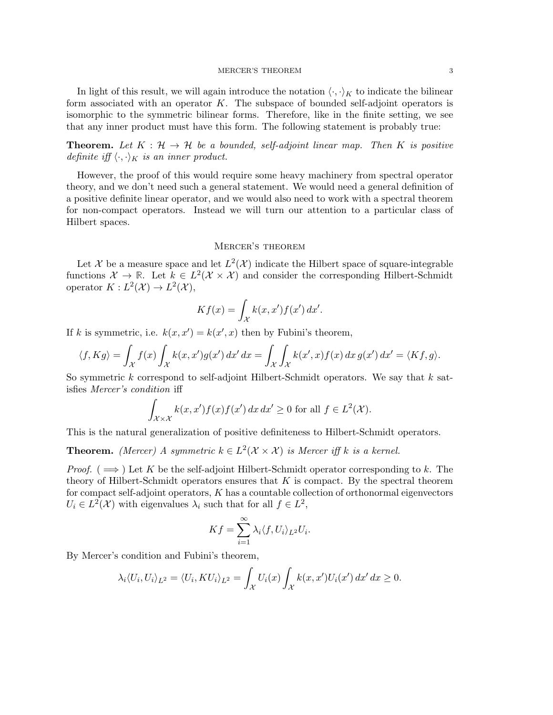#### MERCER'S THEOREM 3

In light of this result, we will again introduce the notation  $\langle \cdot, \cdot \rangle_K$  to indicate the bilinear form associated with an operator  $K$ . The subspace of bounded self-adjoint operators is isomorphic to the symmetric bilinear forms. Therefore, like in the finite setting, we see that any inner product must have this form. The following statement is probably true:

**Theorem.** Let  $K : \mathcal{H} \to \mathcal{H}$  be a bounded, self-adjoint linear map. Then K is positive definite iff  $\langle \cdot, \cdot \rangle_K$  is an inner product.

However, the proof of this would require some heavy machinery from spectral operator theory, and we don't need such a general statement. We would need a general definition of a positive definite linear operator, and we would also need to work with a spectral theorem for non-compact operators. Instead we will turn our attention to a particular class of Hilbert spaces.

### Mercer's theorem

Let X be a measure space and let  $L^2(\mathcal{X})$  indicate the Hilbert space of square-integrable functions  $\mathcal{X} \to \mathbb{R}$ . Let  $k \in L^2(\mathcal{X} \times \mathcal{X})$  and consider the corresponding Hilbert-Schmidt operator  $K : L^2(\mathcal{X}) \to L^2(\mathcal{X}),$ 

$$
Kf(x) = \int_{\mathcal{X}} k(x, x') f(x') dx'.
$$

If k is symmetric, i.e.  $k(x, x') = k(x', x)$  then by Fubini's theorem,

$$
\langle f, Kg \rangle = \int_{\mathcal{X}} f(x) \int_{\mathcal{X}} k(x, x') g(x') dx' dx = \int_{\mathcal{X}} \int_{\mathcal{X}} k(x', x) f(x) dx g(x') dx' = \langle Kf, g \rangle.
$$

So symmetric  $k$  correspond to self-adjoint Hilbert-Schmidt operators. We say that  $k$  satisfies Mercer's condition iff

$$
\int_{\mathcal{X}\times\mathcal{X}} k(x, x') f(x) f(x') dx dx' \ge 0 \text{ for all } f \in L^2(\mathcal{X}).
$$

This is the natural generalization of positive definiteness to Hilbert-Schmidt operators.

**Theorem.** (Mercer) A symmetric  $k \in L^2(\mathcal{X} \times \mathcal{X})$  is Mercer iff k is a kernel.

*Proof.* ( $\implies$ ) Let K be the self-adjoint Hilbert-Schmidt operator corresponding to k. The theory of Hilbert-Schmidt operators ensures that  $K$  is compact. By the spectral theorem for compact self-adjoint operators,  $K$  has a countable collection of orthonormal eigenvectors  $U_i \in L^2(\mathcal{X})$  with eigenvalues  $\lambda_i$  such that for all  $f \in L^2$ ,

$$
Kf = \sum_{i=1}^{\infty} \lambda_i \langle f, U_i \rangle_{L^2} U_i.
$$

By Mercer's condition and Fubini's theorem,

$$
\lambda_i \langle U_i, U_i \rangle_{L^2} = \langle U_i, K U_i \rangle_{L^2} = \int_{\mathcal{X}} U_i(x) \int_{\mathcal{X}} k(x, x') U_i(x') dx' dx \ge 0.
$$